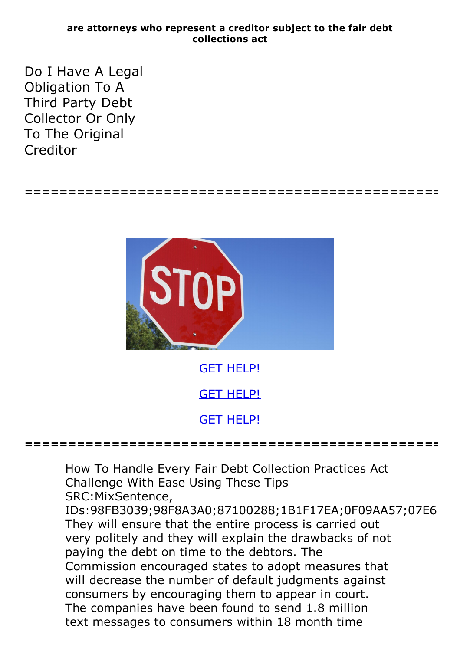## **are attorneys who represent a creditor subject to the fair debt collections act**

**================================================**

Do I Have A Legal Obligation To A Third Party Debt Collector Or Only To The Original Creditor



How To Handle Every Fair Debt Collection Practices Act Challenge With Ease Using These Tips SRC:MixSentence,

IDs:98FB3039;98F8A3A0;87100288;1B1F17EA;0F09AA57;07E6| They will ensure that the entire process is carried out very politely and they will explain the drawbacks of not paying the debt on time to the debtors. The Commission encouraged states to adopt measures that will decrease the number of default judgments against consumers by encouraging them to appear in court. The companies have been found to send 1.8 million text messages to consumers within 18 month time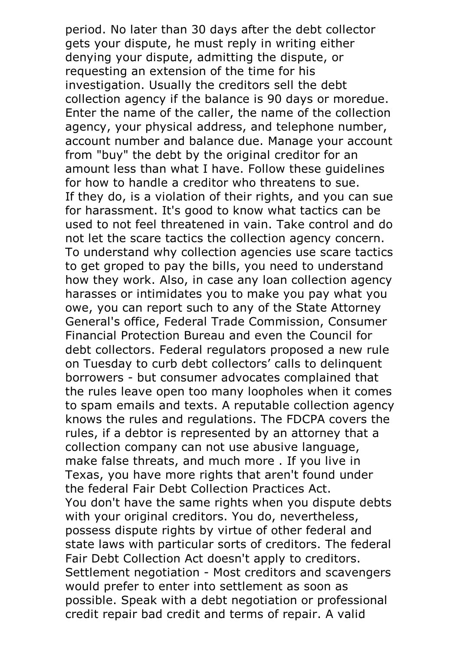period. No later than 30 days after the debt collector gets your dispute, he must reply in writing either denying your dispute, admitting the dispute, or requesting an extension of the time for his investigation. Usually the creditors sell the debt collection agency if the balance is <sup>90</sup> days or moredue. Enter the name of the caller, the name of the collection agency, your physical address, and telephone number, account number and balance due. Manage your account from "buy" the debt by the original creditor for an amount less than what I have. Follow these guidelines for how to handle a creditor who threatens to sue. If they do, is a violation of their rights, and you can sue for harassment. It's good to know what tactics can be used to not feel threatened in vain. Take control and do not let the scare tactics the collection agency concern. To understand why collection agencies use scare tactics to get groped to pay the bills, you need to understand how they work. Also, in case any loan collection agency harasses or intimidates you to make you pay what you owe, you can report such to any of the State Attorney General's office, Federal Trade Commission, Consumer Financial Protection Bureau and even the Council for debt collectors. Federal regulators proposed a new rule on Tuesday to curb debt collectors' calls to delinquent borrowers - but consumer advocates complained that the rules leave open too many loopholes when it comes to spam emails and texts. A reputable collection agency knows the rules and regulations. The FDCPA covers the rules, if a debtor is represented by an attorney that a collection company can not use abusive language, make false threats, and much more . If you live in Texas, you have more rights that aren't found under You don't have the same rights when you dispute debts with your original creditors. You do, nevertheless, possess dispute rights by virtue of other federal and state laws with particular sorts of creditors. The federal Fair Debt Collection Act doesn't apply to creditors.<br>Settlement negotiation - Most creditors and scavengers would prefer to enter into settlement as soon as possible. Speak with a debt negotiation or professional credit repair bad credit and terms of repair. A valid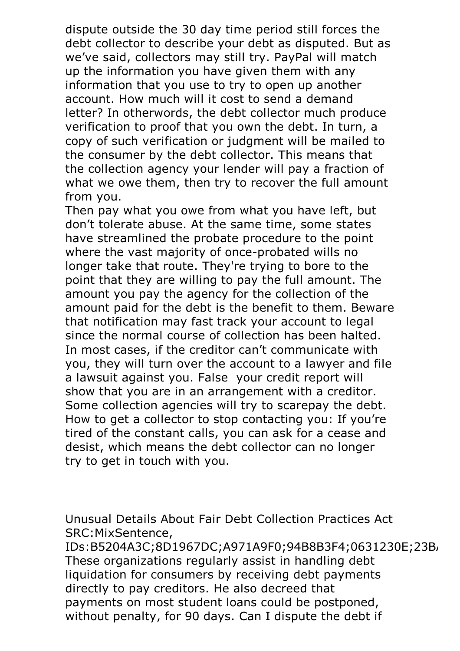dispute outside the 30 day time period still forces the debt collector to describe your debt as disputed. But as we've said, collectors may still try. PayPal will match up the information you have given them with any information that you use to try to open up another account. How much will it cost to send a demand letter? In otherwords, the debt collector much produce verification to proof that you own the debt. In turn, a copy of such verification or judgment will be mailed to the consumer by the debt collector. This means that the collection agency your lender will pay a fraction of what we owe them, then try to recover the full amount

from you.<br>Then pay what you owe from what you have left, but don't tolerate abuse. At the same time, some states have streamlined the probate procedure to the point where the vast majority of once-probated wills no longer take that route. They're trying to bore to the point that they are willing to pay the full amount. The amount you pay the agency for the collection of the amount paid for the debt is the benefit to them. Beware that notification may fast track your account to legal since the normal course of collection has been halted. In most cases, if the creditor can't communicate with you, they will turn over the account to a lawyer and file a lawsuit against you. False your credit report will show that you are in an arrangement with <sup>a</sup> creditor. Some collection agencies will try to scarepay the debt. How to get <sup>a</sup> collector to stop contacting you: If you're tired of the constant calls, you can ask for a cease and desist, which means the debt collector can no longer try to get in touch with you.

Unusual Details About Fair Debt Collection Practices Act SRC:MixSentence,

IDs:B5204A3C;8D1967DC;A971A9F0;94B8B3F4;0631230E;23B, These organizations regularly assist in handling debt liquidation for consumers by receiving debt payments directly to pay creditors. He also decreed that payments on most student loans could be postponed, without penalty, for 90 days. Can I dispute the debt if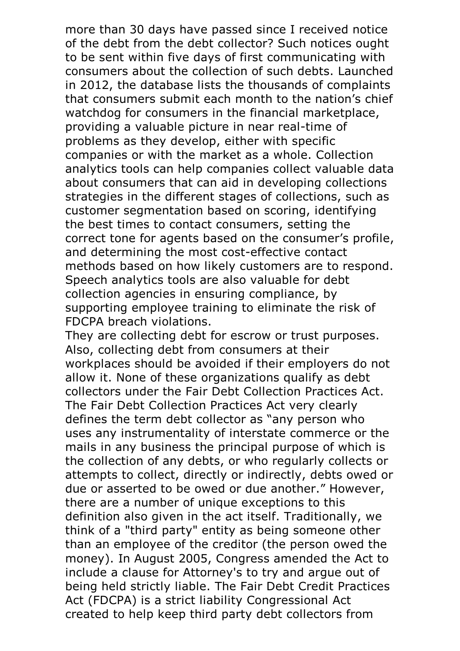more than 30 days have passed since I received notice of the debt from the debt collector? Such notices ought to be sent within five days of first communicating with consumers about the collection of such debts. Launched in 2012, the database lists the thousands of complaints that consumers submit each month to the nation's chief watchdog for consumers in the financial marketplace, providing a valuable picture in near real-time of problems as they develop, either with specific companies or with the market as a whole. Collection analytics tools can help companies collect valuable data about consumers that can aid in developing collections strategies in the different stages of collections, such as customer segmentation based on scoring, identifying the best times to contact consumers, setting the correct tone for agents based on the consumer's profile, and determining the most cost-effective contact methods based on how likely customers are to respond. Speech analytics tools are also valuable for debt collection agencies in ensuring compliance, by supporting employee training to eliminate the risk of

FDCPA breach violations.<br>They are collecting debt for escrow or trust purposes.<br>Also, collecting debt from consumers at their workplaces should be avoided if their employers do not allow it. None of these organizations qualify as debt collectors under the Fair Debt Collection Practices Act. The Fair Debt Collection Practices Act very clearly defines the term debt collector as "any person who uses any instrumentality of interstate commerce or the mails in any business the principal purpose of which is the collection of any debts, or who regularly collects or attempts to collect, directly or indirectly, debts owed or due or asserted to be owed or due another." However, there are a number of unique exceptions to this definition also given in the act itself. Traditionally, we think of a "third party" entity as being someone other than an employee of the creditor (the person owed the money). In August 2005, Congress amended the Act to include a clause for Attorney's to try and argue out of being held strictly liable. The Fair Debt Credit Practices Act (FDCPA) is a strict liability Congressional Act created to help keep third party debt collectors from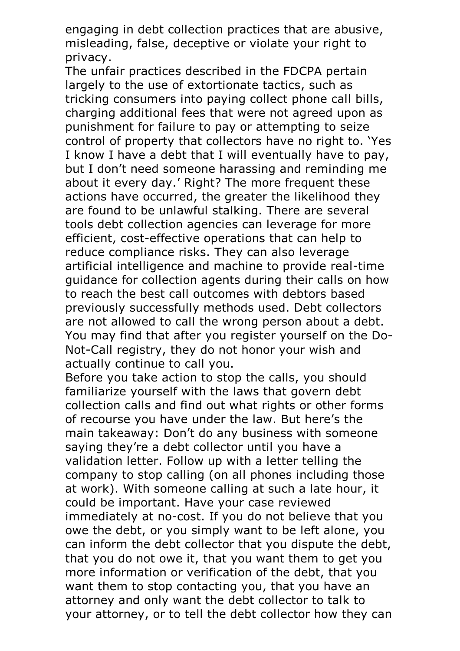engaging in debt collection practices that are abusive, misleading, false, deceptive or violate your right to privacy.<br>The unfair practices described in the FDCPA pertain

largely to the use of extortionate tactics, such as tricking consumers into paying collect phone call bills, charging additional fees that were not agreed upon as punishment for failure to pay or attempting to seize control of property that collectors have no right to. 'Yes I know I have a debt that I will eventually have to pay, but I don't need someone harassing and reminding me about it every day.' Right? The more frequent these actions have occurred, the greater the likelihood they are found to be unlawful stalking. There are several tools debt collection agencies can leverage for more efficient, cost-effective operations that can help to reduce compliance risks. They can also leverage artificial intelligence and machine to provide real-time guidance for collection agents during their calls on how to reach the best call outcomes with debtors based previously successfully methods used. Debt collectors are not allowed to call the wrong person about a debt.<br>You may find that after you register yourself on the Do-<br>Not-Call registry, they do not honor your wish and

actually continue to call you.<br>Before you take action to stop the calls, you should familiarize yourself with the laws that govern debt collection calls and find out what rights or other forms of recourse you have under the law. But here's the main takeaway: Don't do any business with someone saying they're a debt collector until you have a validation letter. Follow up with a letter telling the company to stop calling (on all phones including those at work). With someone calling at such a late hour, it could be important. Have your case reviewed immediately at no-cost. If you do not believe that you owe the debt, or you simply want to be left alone, you can inform the debt collector that you dispute the debt, that you do not owe it, that you want them to get you more information or verification of the debt, that you want them to stop contacting you, that you have an attorney and only want the debt collector to talk to your attorney, or to tell the debt collector how they can